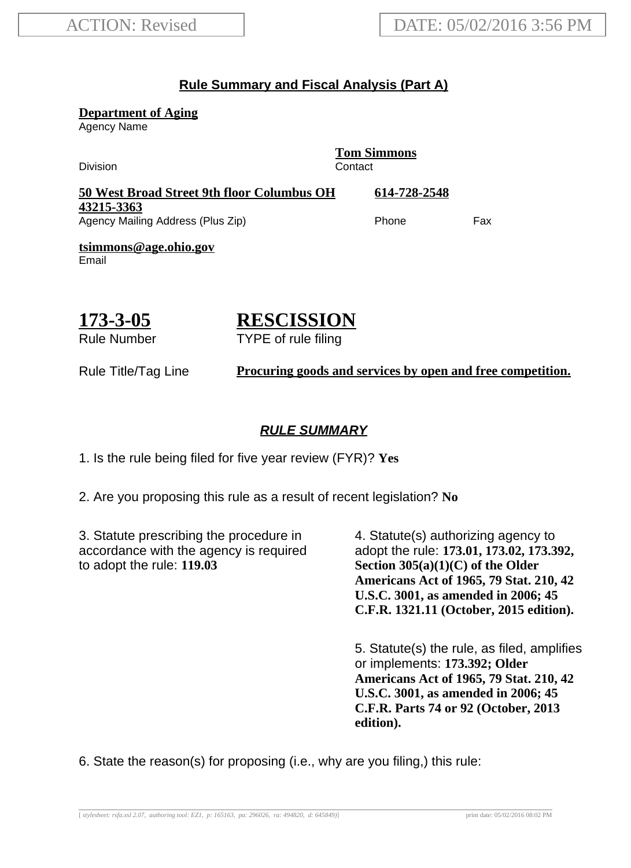#### **Rule Summary and Fiscal Analysis (Part A)**

**Department of Aging**

Agency Name

**Tom Simmons** Division **Contact 50 West Broad Street 9th floor Columbus OH 43215-3363 614-728-2548** Agency Mailing Address (Plus Zip) example and the Phone Fax **tsimmons@age.ohio.gov** Email

#### **173-3-05** Rule Number

# **RESCISSION**

TYPE of rule filing

Rule Title/Tag Line **Procuring goods and services by open and free competition.**

#### **RULE SUMMARY**

1. Is the rule being filed for five year review (FYR)? **Yes**

2. Are you proposing this rule as a result of recent legislation? **No**

3. Statute prescribing the procedure in accordance with the agency is required to adopt the rule: **119.03**

4. Statute(s) authorizing agency to adopt the rule: **173.01, 173.02, 173.392, Section 305(a)(1)(C) of the Older Americans Act of 1965, 79 Stat. 210, 42 U.S.C. 3001, as amended in 2006; 45 C.F.R. 1321.11 (October, 2015 edition).**

5. Statute(s) the rule, as filed, amplifies or implements: **173.392; Older Americans Act of 1965, 79 Stat. 210, 42 U.S.C. 3001, as amended in 2006; 45 C.F.R. Parts 74 or 92 (October, 2013 edition).**

6. State the reason(s) for proposing (i.e., why are you filing,) this rule: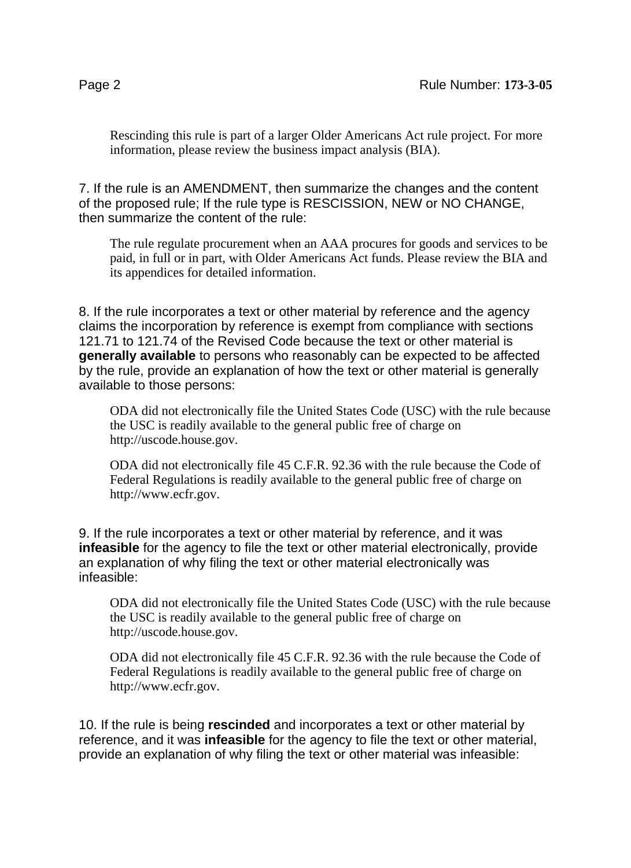Rescinding this rule is part of a larger Older Americans Act rule project. For more information, please review the business impact analysis (BIA).

7. If the rule is an AMENDMENT, then summarize the changes and the content of the proposed rule; If the rule type is RESCISSION, NEW or NO CHANGE, then summarize the content of the rule:

The rule regulate procurement when an AAA procures for goods and services to be paid, in full or in part, with Older Americans Act funds. Please review the BIA and its appendices for detailed information.

8. If the rule incorporates a text or other material by reference and the agency claims the incorporation by reference is exempt from compliance with sections 121.71 to 121.74 of the Revised Code because the text or other material is **generally available** to persons who reasonably can be expected to be affected by the rule, provide an explanation of how the text or other material is generally available to those persons:

ODA did not electronically file the United States Code (USC) with the rule because the USC is readily available to the general public free of charge on http://uscode.house.gov.

ODA did not electronically file 45 C.F.R. 92.36 with the rule because the Code of Federal Regulations is readily available to the general public free of charge on http://www.ecfr.gov.

9. If the rule incorporates a text or other material by reference, and it was **infeasible** for the agency to file the text or other material electronically, provide an explanation of why filing the text or other material electronically was infeasible:

ODA did not electronically file the United States Code (USC) with the rule because the USC is readily available to the general public free of charge on http://uscode.house.gov.

ODA did not electronically file 45 C.F.R. 92.36 with the rule because the Code of Federal Regulations is readily available to the general public free of charge on http://www.ecfr.gov.

10. If the rule is being **rescinded** and incorporates a text or other material by reference, and it was **infeasible** for the agency to file the text or other material, provide an explanation of why filing the text or other material was infeasible: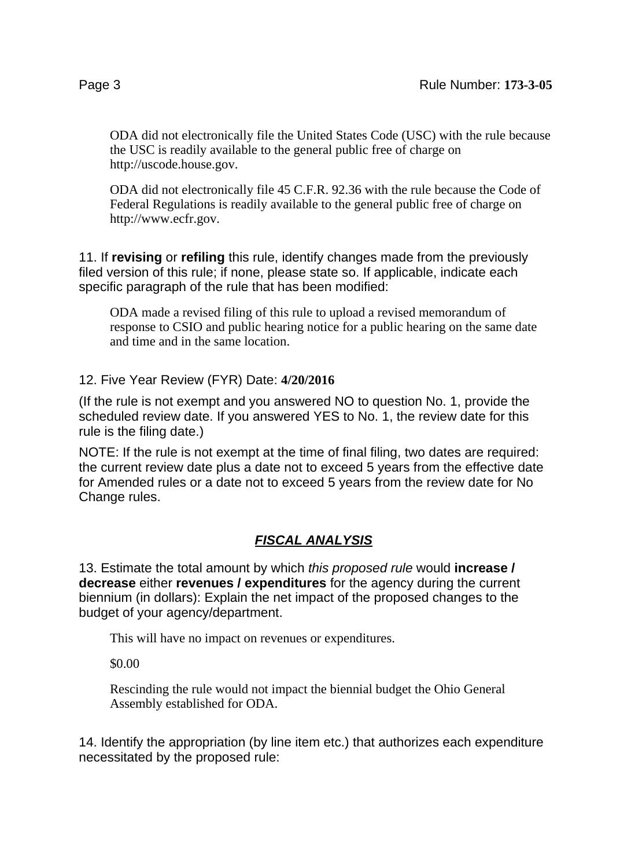ODA did not electronically file the United States Code (USC) with the rule because the USC is readily available to the general public free of charge on http://uscode.house.gov.

ODA did not electronically file 45 C.F.R. 92.36 with the rule because the Code of Federal Regulations is readily available to the general public free of charge on http://www.ecfr.gov.

11. If **revising** or **refiling** this rule, identify changes made from the previously filed version of this rule; if none, please state so. If applicable, indicate each specific paragraph of the rule that has been modified:

ODA made a revised filing of this rule to upload a revised memorandum of response to CSIO and public hearing notice for a public hearing on the same date and time and in the same location.

12. Five Year Review (FYR) Date: **4/20/2016**

(If the rule is not exempt and you answered NO to question No. 1, provide the scheduled review date. If you answered YES to No. 1, the review date for this rule is the filing date.)

NOTE: If the rule is not exempt at the time of final filing, two dates are required: the current review date plus a date not to exceed 5 years from the effective date for Amended rules or a date not to exceed 5 years from the review date for No Change rules.

### **FISCAL ANALYSIS**

13. Estimate the total amount by which this proposed rule would **increase / decrease** either **revenues / expenditures** for the agency during the current biennium (in dollars): Explain the net impact of the proposed changes to the budget of your agency/department.

This will have no impact on revenues or expenditures.

\$0.00

Rescinding the rule would not impact the biennial budget the Ohio General Assembly established for ODA.

14. Identify the appropriation (by line item etc.) that authorizes each expenditure necessitated by the proposed rule: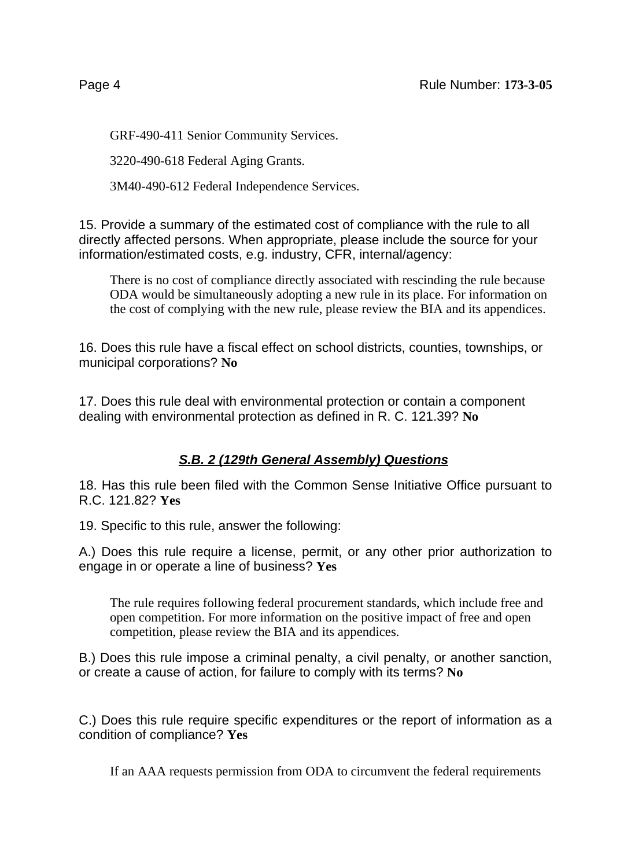GRF-490-411 Senior Community Services.

3220-490-618 Federal Aging Grants.

3M40-490-612 Federal Independence Services.

15. Provide a summary of the estimated cost of compliance with the rule to all directly affected persons. When appropriate, please include the source for your information/estimated costs, e.g. industry, CFR, internal/agency:

There is no cost of compliance directly associated with rescinding the rule because ODA would be simultaneously adopting a new rule in its place. For information on the cost of complying with the new rule, please review the BIA and its appendices.

16. Does this rule have a fiscal effect on school districts, counties, townships, or municipal corporations? **No**

17. Does this rule deal with environmental protection or contain a component dealing with environmental protection as defined in R. C. 121.39? **No**

## **S.B. 2 (129th General Assembly) Questions**

18. Has this rule been filed with the Common Sense Initiative Office pursuant to R.C. 121.82? **Yes**

19. Specific to this rule, answer the following:

A.) Does this rule require a license, permit, or any other prior authorization to engage in or operate a line of business? **Yes**

The rule requires following federal procurement standards, which include free and open competition. For more information on the positive impact of free and open competition, please review the BIA and its appendices.

B.) Does this rule impose a criminal penalty, a civil penalty, or another sanction, or create a cause of action, for failure to comply with its terms? **No**

C.) Does this rule require specific expenditures or the report of information as a condition of compliance? **Yes**

If an AAA requests permission from ODA to circumvent the federal requirements